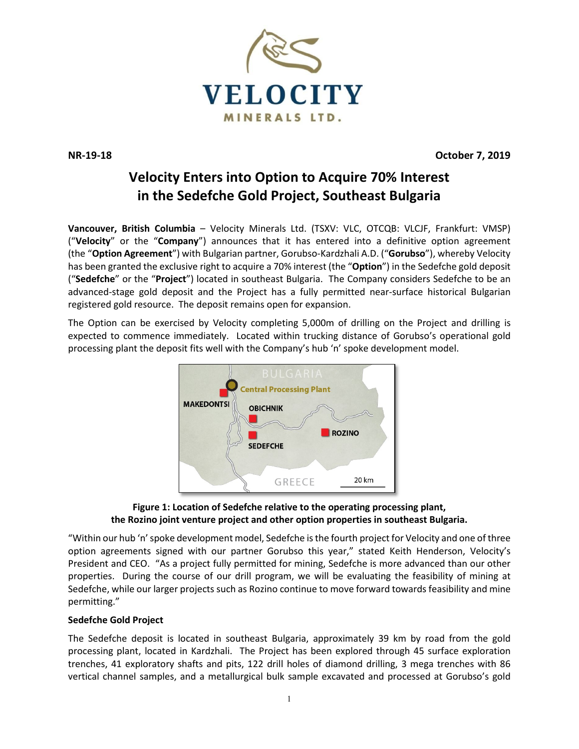

**NR-19-18 October 7, 2019**

# **Velocity Enters into Option to Acquire 70% Interest in the Sedefche Gold Project, Southeast Bulgaria**

**Vancouver, British Columbia** – Velocity Minerals Ltd. (TSXV: VLC, OTCQB: VLCJF, Frankfurt: VMSP) ("**Velocity**" or the "**Company**") announces that it has entered into a definitive option agreement (the "**Option Agreement**") with Bulgarian partner, Gorubso-Kardzhali A.D. ("**Gorubso**"), whereby Velocity has been granted the exclusive right to acquire a 70% interest (the "**Option**") in the Sedefche gold deposit ("**Sedefche**" or the "**Project**") located in southeast Bulgaria. The Company considers Sedefche to be an advanced-stage gold deposit and the Project has a fully permitted near-surface historical Bulgarian registered gold resource. The deposit remains open for expansion.

The Option can be exercised by Velocity completing 5,000m of drilling on the Project and drilling is expected to commence immediately. Located within trucking distance of Gorubso's operational gold processing plant the deposit fits well with the Company's hub 'n' spoke development model.





"Within our hub 'n' spoke development model, Sedefche is the fourth project for Velocity and one of three option agreements signed with our partner Gorubso this year," stated Keith Henderson, Velocity's President and CEO. "As a project fully permitted for mining, Sedefche is more advanced than our other properties. During the course of our drill program, we will be evaluating the feasibility of mining at Sedefche, while our larger projects such as Rozino continue to move forward towards feasibility and mine permitting."

## **Sedefche Gold Project**

The Sedefche deposit is located in southeast Bulgaria, approximately 39 km by road from the gold processing plant, located in Kardzhali. The Project has been explored through 45 surface exploration trenches, 41 exploratory shafts and pits, 122 drill holes of diamond drilling, 3 mega trenches with 86 vertical channel samples, and a metallurgical bulk sample excavated and processed at Gorubso's gold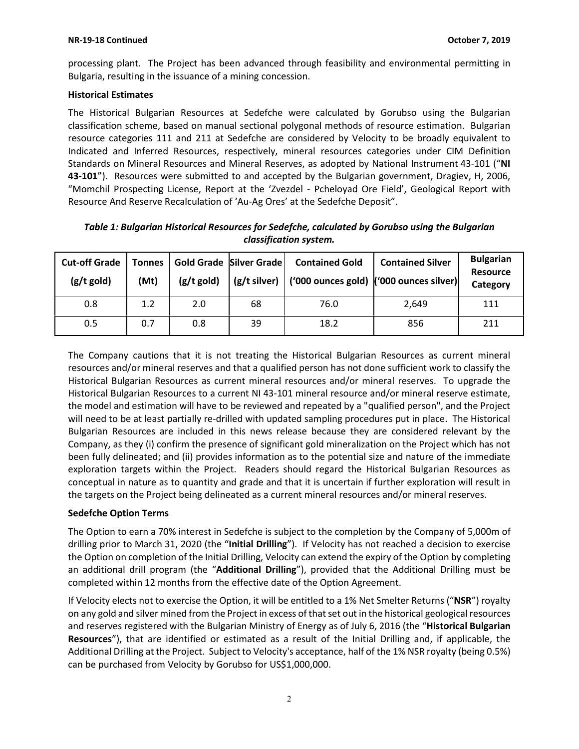processing plant. The Project has been advanced through feasibility and environmental permitting in Bulgaria, resulting in the issuance of a mining concession.

#### **Historical Estimates**

The Historical Bulgarian Resources at Sedefche were calculated by Gorubso using the Bulgarian classification scheme, based on manual sectional polygonal methods of resource estimation. Bulgarian resource categories 111 and 211 at Sedefche are considered by Velocity to be broadly equivalent to Indicated and Inferred Resources, respectively, mineral resources categories under CIM Definition Standards on Mineral Resources and Mineral Reserves, as adopted by National Instrument 43-101 ("**NI 43-101**"). Resources were submitted to and accepted by the Bulgarian government, Dragiev, H, 2006, "Momchil Prospecting License, Report at the 'Zvezdel - Pcheloyad Ore Field', Geological Report with Resource And Reserve Recalculation of 'Au-Ag Ores' at the Sedefche Deposit".

| <b>Cut-off Grade</b><br>$(g/t$ gold) | <b>Tonnes</b><br>(Mt) | $(g/t$ gold) | Gold Grade Silver Grade | <b>Contained Gold</b><br>$(g/t \text{ silver})$ ('000 ounces gold) ('000 ounces silver) | <b>Contained Silver</b> | <b>Bulgarian</b><br><b>Resource</b><br>Category |
|--------------------------------------|-----------------------|--------------|-------------------------|-----------------------------------------------------------------------------------------|-------------------------|-------------------------------------------------|
| 0.8                                  | 1.2                   | 2.0          | 68                      | 76.0                                                                                    | 2,649                   | 111                                             |
| 0.5                                  | 0.7                   | 0.8          | 39                      | 18.2                                                                                    | 856                     | 211                                             |

*Table 1: Bulgarian Historical Resources for Sedefche, calculated by Gorubso using the Bulgarian classification system.*

The Company cautions that it is not treating the Historical Bulgarian Resources as current mineral resources and/or mineral reserves and that a qualified person has not done sufficient work to classify the Historical Bulgarian Resources as current mineral resources and/or mineral reserves. To upgrade the Historical Bulgarian Resources to a current NI 43-101 mineral resource and/or mineral reserve estimate, the model and estimation will have to be reviewed and repeated by a "qualified person", and the Project will need to be at least partially re-drilled with updated sampling procedures put in place. The Historical Bulgarian Resources are included in this news release because they are considered relevant by the Company, as they (i) confirm the presence of significant gold mineralization on the Project which has not been fully delineated; and (ii) provides information as to the potential size and nature of the immediate exploration targets within the Project. Readers should regard the Historical Bulgarian Resources as conceptual in nature as to quantity and grade and that it is uncertain if further exploration will result in the targets on the Project being delineated as a current mineral resources and/or mineral reserves.

## **Sedefche Option Terms**

The Option to earn a 70% interest in Sedefche is subject to the completion by the Company of 5,000m of drilling prior to March 31, 2020 (the "**Initial Drilling**"). If Velocity has not reached a decision to exercise the Option on completion of the Initial Drilling, Velocity can extend the expiry of the Option by completing an additional drill program (the "**Additional Drilling**"), provided that the Additional Drilling must be completed within 12 months from the effective date of the Option Agreement.

If Velocity elects not to exercise the Option, it will be entitled to a 1% Net Smelter Returns ("**NSR**") royalty on any gold and silver mined from the Project in excess of that set out in the historical geological resources and reserves registered with the Bulgarian Ministry of Energy as of July 6, 2016 (the "**Historical Bulgarian Resources**"), that are identified or estimated as a result of the Initial Drilling and, if applicable, the Additional Drilling at the Project. Subject to Velocity's acceptance, half of the 1% NSR royalty (being 0.5%) can be purchased from Velocity by Gorubso for US\$1,000,000.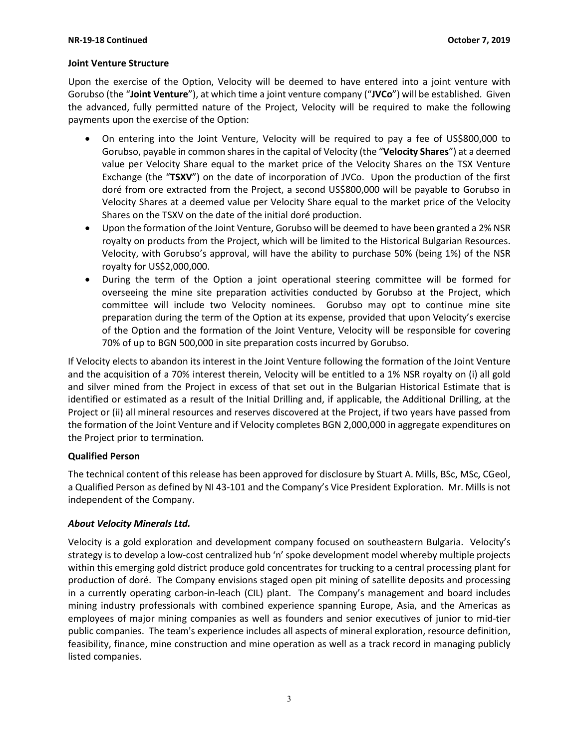#### **Joint Venture Structure**

Upon the exercise of the Option, Velocity will be deemed to have entered into a joint venture with Gorubso (the "**Joint Venture**"), at which time a joint venture company ("**JVCo**") will be established. Given the advanced, fully permitted nature of the Project, Velocity will be required to make the following payments upon the exercise of the Option:

- On entering into the Joint Venture, Velocity will be required to pay a fee of US\$800,000 to Gorubso, payable in common sharesin the capital of Velocity (the "**Velocity Shares**") at a deemed value per Velocity Share equal to the market price of the Velocity Shares on the TSX Venture Exchange (the "**TSXV**") on the date of incorporation of JVCo. Upon the production of the first doré from ore extracted from the Project, a second US\$800,000 will be payable to Gorubso in Velocity Shares at a deemed value per Velocity Share equal to the market price of the Velocity Shares on the TSXV on the date of the initial doré production.
- Upon the formation of the Joint Venture, Gorubso will be deemed to have been granted a 2% NSR royalty on products from the Project, which will be limited to the Historical Bulgarian Resources. Velocity, with Gorubso's approval, will have the ability to purchase 50% (being 1%) of the NSR royalty for US\$2,000,000.
- During the term of the Option a joint operational steering committee will be formed for overseeing the mine site preparation activities conducted by Gorubso at the Project, which committee will include two Velocity nominees. Gorubso may opt to continue mine site preparation during the term of the Option at its expense, provided that upon Velocity's exercise of the Option and the formation of the Joint Venture, Velocity will be responsible for covering 70% of up to BGN 500,000 in site preparation costs incurred by Gorubso.

If Velocity elects to abandon its interest in the Joint Venture following the formation of the Joint Venture and the acquisition of a 70% interest therein, Velocity will be entitled to a 1% NSR royalty on (i) all gold and silver mined from the Project in excess of that set out in the Bulgarian Historical Estimate that is identified or estimated as a result of the Initial Drilling and, if applicable, the Additional Drilling, at the Project or (ii) all mineral resources and reserves discovered at the Project, if two years have passed from the formation of the Joint Venture and if Velocity completes BGN 2,000,000 in aggregate expenditures on the Project prior to termination.

## **Qualified Person**

The technical content of this release has been approved for disclosure by Stuart A. Mills, BSc, MSc, CGeol, a Qualified Person as defined by NI 43-101 and the Company's Vice President Exploration. Mr. Mills is not independent of the Company.

## *About Velocity Minerals Ltd.*

Velocity is a gold exploration and development company focused on southeastern Bulgaria. Velocity's strategy is to develop a low-cost centralized hub 'n' spoke development model whereby multiple projects within this emerging gold district produce gold concentrates for trucking to a central processing plant for production of doré. The Company envisions staged open pit mining of satellite deposits and processing in a currently operating carbon-in-leach (CIL) plant. The Company's management and board includes mining industry professionals with combined experience spanning Europe, Asia, and the Americas as employees of major mining companies as well as founders and senior executives of junior to mid-tier public companies. The team's experience includes all aspects of mineral exploration, resource definition, feasibility, finance, mine construction and mine operation as well as a track record in managing publicly listed companies.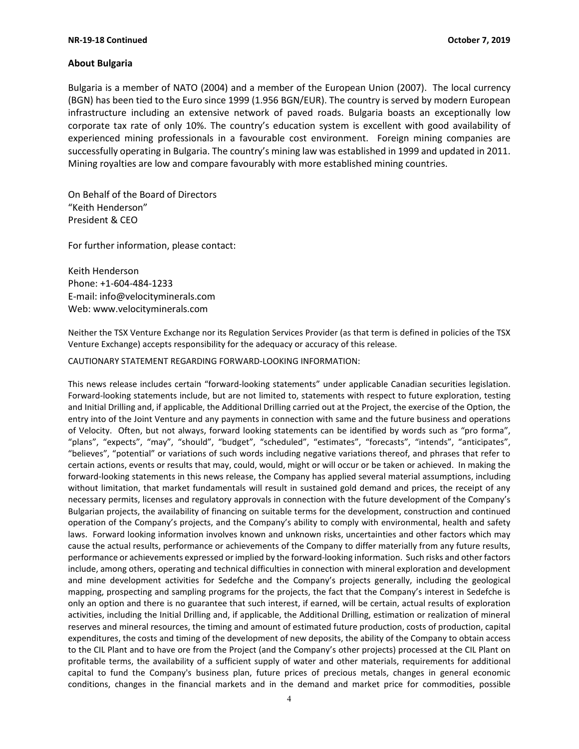#### **About Bulgaria**

Bulgaria is a member of NATO (2004) and a member of the European Union (2007). The local currency (BGN) has been tied to the Euro since 1999 (1.956 BGN/EUR). The country is served by modern European infrastructure including an extensive network of paved roads. Bulgaria boasts an exceptionally low corporate tax rate of only 10%. The country's education system is excellent with good availability of experienced mining professionals in a favourable cost environment. Foreign mining companies are successfully operating in Bulgaria. The country's mining law was established in 1999 and updated in 2011. Mining royalties are low and compare favourably with more established mining countries.

On Behalf of the Board of Directors "Keith Henderson" President & CEO

For further information, please contact:

Keith Henderson Phone: +1-604-484-1233 E-mail: [info@velocityminerals.com](mailto:info@velocityminerals.com) Web: [www.velocityminerals.com](http://www.velocityminerals.com/)

Neither the TSX Venture Exchange nor its Regulation Services Provider (as that term is defined in policies of the TSX Venture Exchange) accepts responsibility for the adequacy or accuracy of this release.

CAUTIONARY STATEMENT REGARDING FORWARD-LOOKING INFORMATION:

This news release includes certain "forward-looking statements" under applicable Canadian securities legislation. Forward-looking statements include, but are not limited to, statements with respect to future exploration, testing and Initial Drilling and, if applicable, the Additional Drilling carried out at the Project, the exercise of the Option, the entry into of the Joint Venture and any payments in connection with same and the future business and operations of Velocity. Often, but not always, forward looking statements can be identified by words such as "pro forma", "plans", "expects", "may", "should", "budget", "scheduled", "estimates", "forecasts", "intends", "anticipates", "believes", "potential" or variations of such words including negative variations thereof, and phrases that refer to certain actions, events or results that may, could, would, might or will occur or be taken or achieved. In making the forward-looking statements in this news release, the Company has applied several material assumptions, including without limitation, that market fundamentals will result in sustained gold demand and prices, the receipt of any necessary permits, licenses and regulatory approvals in connection with the future development of the Company's Bulgarian projects, the availability of financing on suitable terms for the development, construction and continued operation of the Company's projects, and the Company's ability to comply with environmental, health and safety laws. Forward looking information involves known and unknown risks, uncertainties and other factors which may cause the actual results, performance or achievements of the Company to differ materially from any future results, performance or achievements expressed or implied by the forward-looking information. Such risks and other factors include, among others, operating and technical difficulties in connection with mineral exploration and development and mine development activities for Sedefche and the Company's projects generally, including the geological mapping, prospecting and sampling programs for the projects, the fact that the Company's interest in Sedefche is only an option and there is no guarantee that such interest, if earned, will be certain, actual results of exploration activities, including the Initial Drilling and, if applicable, the Additional Drilling, estimation or realization of mineral reserves and mineral resources, the timing and amount of estimated future production, costs of production, capital expenditures, the costs and timing of the development of new deposits, the ability of the Company to obtain access to the CIL Plant and to have ore from the Project (and the Company's other projects) processed at the CIL Plant on profitable terms, the availability of a sufficient supply of water and other materials, requirements for additional capital to fund the Company's business plan, future prices of precious metals, changes in general economic conditions, changes in the financial markets and in the demand and market price for commodities, possible